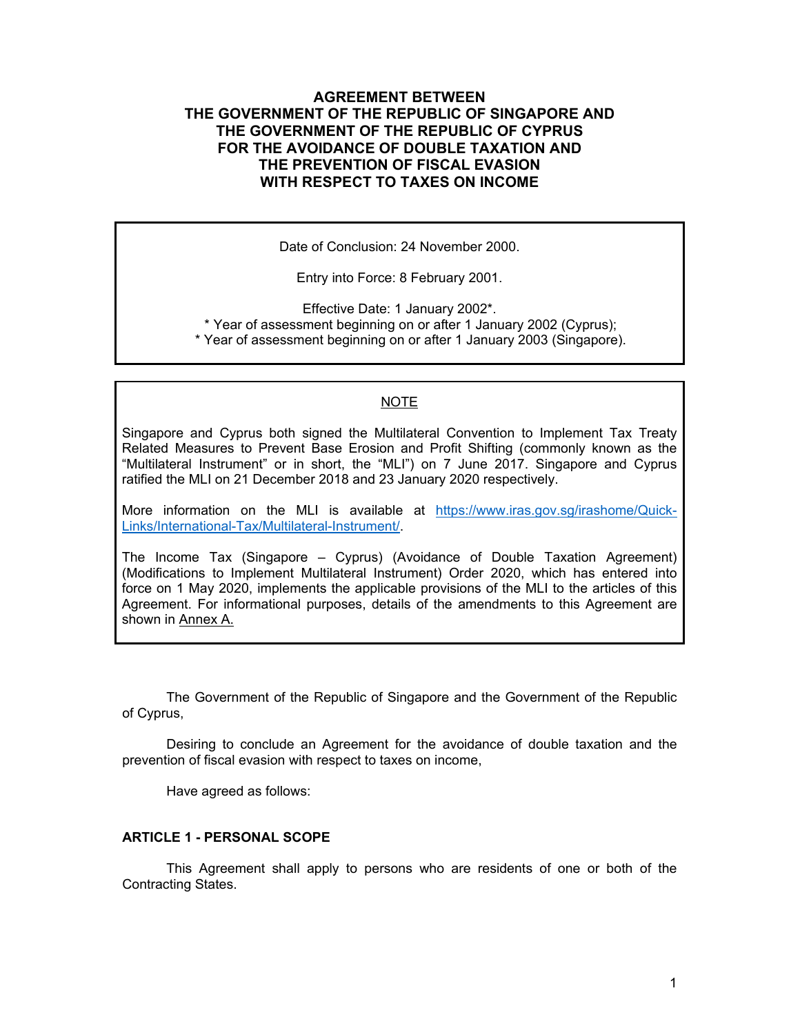# **AGREEMENT BETWEEN THE GOVERNMENT OF THE REPUBLIC OF SINGAPORE AND THE GOVERNMENT OF THE REPUBLIC OF CYPRUS FOR THE AVOIDANCE OF DOUBLE TAXATION AND THE PREVENTION OF FISCAL EVASION WITH RESPECT TO TAXES ON INCOME**

Date of Conclusion: 24 November 2000.

Entry into Force: 8 February 2001.

Effective Date: 1 January 2002\*. \* Year of assessment beginning on or after 1 January 2002 (Cyprus); \* Year of assessment beginning on or after 1 January 2003 (Singapore).

# NOTE

Singapore and Cyprus both signed the Multilateral Convention to Implement Tax Treaty Related Measures to Prevent Base Erosion and Profit Shifting (commonly known as the "Multilateral Instrument" or in short, the "MLI") on 7 June 2017. Singapore and Cyprus ratified the MLI on 21 December 2018 and 23 January 2020 respectively.

More information on the MLI is available at https://www.iras.gov.sg/irashome/Quick-Links/International-Tax/Multilateral-Instrument/.

The Income Tax (Singapore – Cyprus) (Avoidance of Double Taxation Agreement) (Modifications to Implement Multilateral Instrument) Order 2020, which has entered into force on 1 May 2020, implements the applicable provisions of the MLI to the articles of this Agreement. For informational purposes, details of the amendments to this Agreement are shown in Annex A.

 The Government of the Republic of Singapore and the Government of the Republic of Cyprus,

 Desiring to conclude an Agreement for the avoidance of double taxation and the prevention of fiscal evasion with respect to taxes on income,

Have agreed as follows:

#### **ARTICLE 1 - PERSONAL SCOPE**

This Agreement shall apply to persons who are residents of one or both of the Contracting States.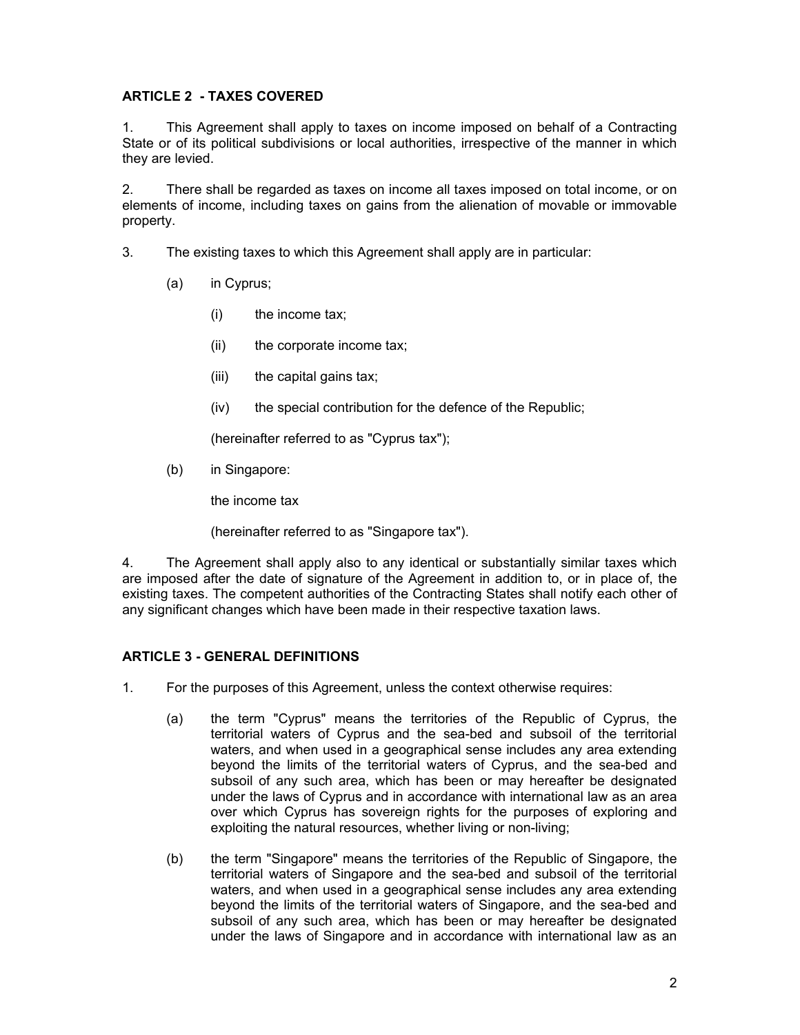# **ARTICLE 2 - TAXES COVERED**

1. This Agreement shall apply to taxes on income imposed on behalf of a Contracting State or of its political subdivisions or local authorities, irrespective of the manner in which they are levied.

2. There shall be regarded as taxes on income all taxes imposed on total income, or on elements of income, including taxes on gains from the alienation of movable or immovable property.

- 3. The existing taxes to which this Agreement shall apply are in particular:
	- (a) in Cyprus;
		- (i) the income tax;
		- (ii) the corporate income tax;
		- (iii) the capital gains tax;
		- (iv) the special contribution for the defence of the Republic;

(hereinafter referred to as "Cyprus tax");

(b) in Singapore:

the income tax

(hereinafter referred to as "Singapore tax").

4. The Agreement shall apply also to any identical or substantially similar taxes which are imposed after the date of signature of the Agreement in addition to, or in place of, the existing taxes. The competent authorities of the Contracting States shall notify each other of any significant changes which have been made in their respective taxation laws.

## **ARTICLE 3 - GENERAL DEFINITIONS**

- 1. For the purposes of this Agreement, unless the context otherwise requires:
	- (a) the term "Cyprus" means the territories of the Republic of Cyprus, the territorial waters of Cyprus and the sea-bed and subsoil of the territorial waters, and when used in a geographical sense includes any area extending beyond the limits of the territorial waters of Cyprus, and the sea-bed and subsoil of any such area, which has been or may hereafter be designated under the laws of Cyprus and in accordance with international law as an area over which Cyprus has sovereign rights for the purposes of exploring and exploiting the natural resources, whether living or non-living;
	- (b) the term "Singapore" means the territories of the Republic of Singapore, the territorial waters of Singapore and the sea-bed and subsoil of the territorial waters, and when used in a geographical sense includes any area extending beyond the limits of the territorial waters of Singapore, and the sea-bed and subsoil of any such area, which has been or may hereafter be designated under the laws of Singapore and in accordance with international law as an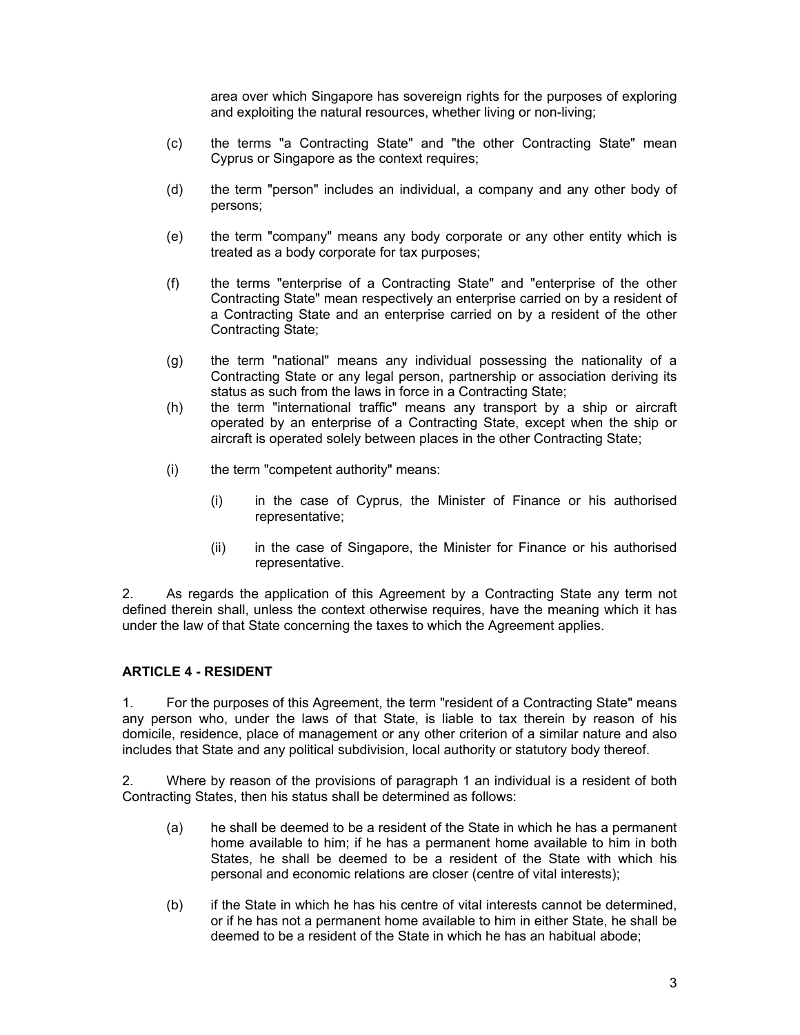area over which Singapore has sovereign rights for the purposes of exploring and exploiting the natural resources, whether living or non-living;

- (c) the terms "a Contracting State" and "the other Contracting State" mean Cyprus or Singapore as the context requires;
- (d) the term "person" includes an individual, a company and any other body of persons;
- (e) the term "company" means any body corporate or any other entity which is treated as a body corporate for tax purposes;
- (f) the terms "enterprise of a Contracting State" and "enterprise of the other Contracting State" mean respectively an enterprise carried on by a resident of a Contracting State and an enterprise carried on by a resident of the other Contracting State;
- (g) the term "national" means any individual possessing the nationality of a Contracting State or any legal person, partnership or association deriving its status as such from the laws in force in a Contracting State;
- (h) the term "international traffic" means any transport by a ship or aircraft operated by an enterprise of a Contracting State, except when the ship or aircraft is operated solely between places in the other Contracting State;
- (i) the term "competent authority" means:
	- (i) in the case of Cyprus, the Minister of Finance or his authorised representative;
	- (ii) in the case of Singapore, the Minister for Finance or his authorised representative.

2. As regards the application of this Agreement by a Contracting State any term not defined therein shall, unless the context otherwise requires, have the meaning which it has under the law of that State concerning the taxes to which the Agreement applies.

## **ARTICLE 4 - RESIDENT**

1. For the purposes of this Agreement, the term "resident of a Contracting State" means any person who, under the laws of that State, is liable to tax therein by reason of his domicile, residence, place of management or any other criterion of a similar nature and also includes that State and any political subdivision, local authority or statutory body thereof.

2. Where by reason of the provisions of paragraph 1 an individual is a resident of both Contracting States, then his status shall be determined as follows:

- (a) he shall be deemed to be a resident of the State in which he has a permanent home available to him; if he has a permanent home available to him in both States, he shall be deemed to be a resident of the State with which his personal and economic relations are closer (centre of vital interests);
- (b) if the State in which he has his centre of vital interests cannot be determined, or if he has not a permanent home available to him in either State, he shall be deemed to be a resident of the State in which he has an habitual abode;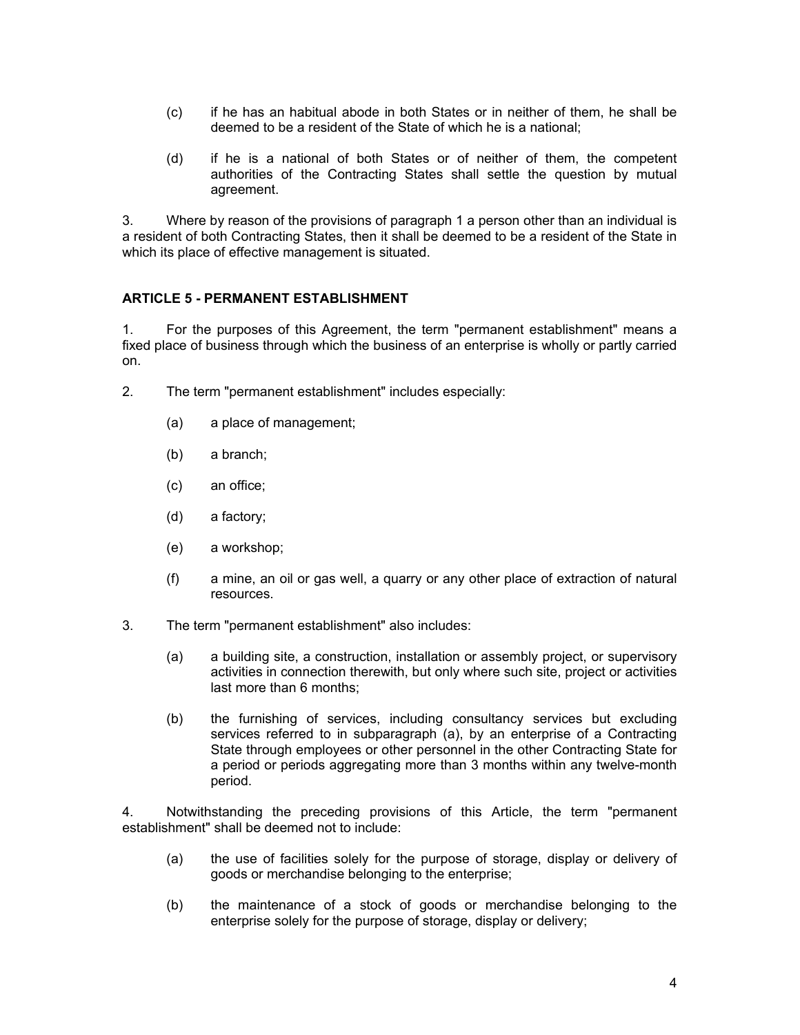- (c) if he has an habitual abode in both States or in neither of them, he shall be deemed to be a resident of the State of which he is a national;
- (d) if he is a national of both States or of neither of them, the competent authorities of the Contracting States shall settle the question by mutual agreement.

3. Where by reason of the provisions of paragraph 1 a person other than an individual is a resident of both Contracting States, then it shall be deemed to be a resident of the State in which its place of effective management is situated.

## **ARTICLE 5 - PERMANENT ESTABLISHMENT**

1. For the purposes of this Agreement, the term "permanent establishment" means a fixed place of business through which the business of an enterprise is wholly or partly carried on.

- 2. The term "permanent establishment" includes especially:
	- (a) a place of management;
	- (b) a branch;
	- (c) an office;
	- (d) a factory;
	- (e) a workshop;
	- (f) a mine, an oil or gas well, a quarry or any other place of extraction of natural resources.
- 3. The term "permanent establishment" also includes:
	- (a) a building site, a construction, installation or assembly project, or supervisory activities in connection therewith, but only where such site, project or activities last more than 6 months;
	- (b) the furnishing of services, including consultancy services but excluding services referred to in subparagraph (a), by an enterprise of a Contracting State through employees or other personnel in the other Contracting State for a period or periods aggregating more than 3 months within any twelve-month period.

4. Notwithstanding the preceding provisions of this Article, the term "permanent establishment" shall be deemed not to include:

- (a) the use of facilities solely for the purpose of storage, display or delivery of goods or merchandise belonging to the enterprise;
- (b) the maintenance of a stock of goods or merchandise belonging to the enterprise solely for the purpose of storage, display or delivery;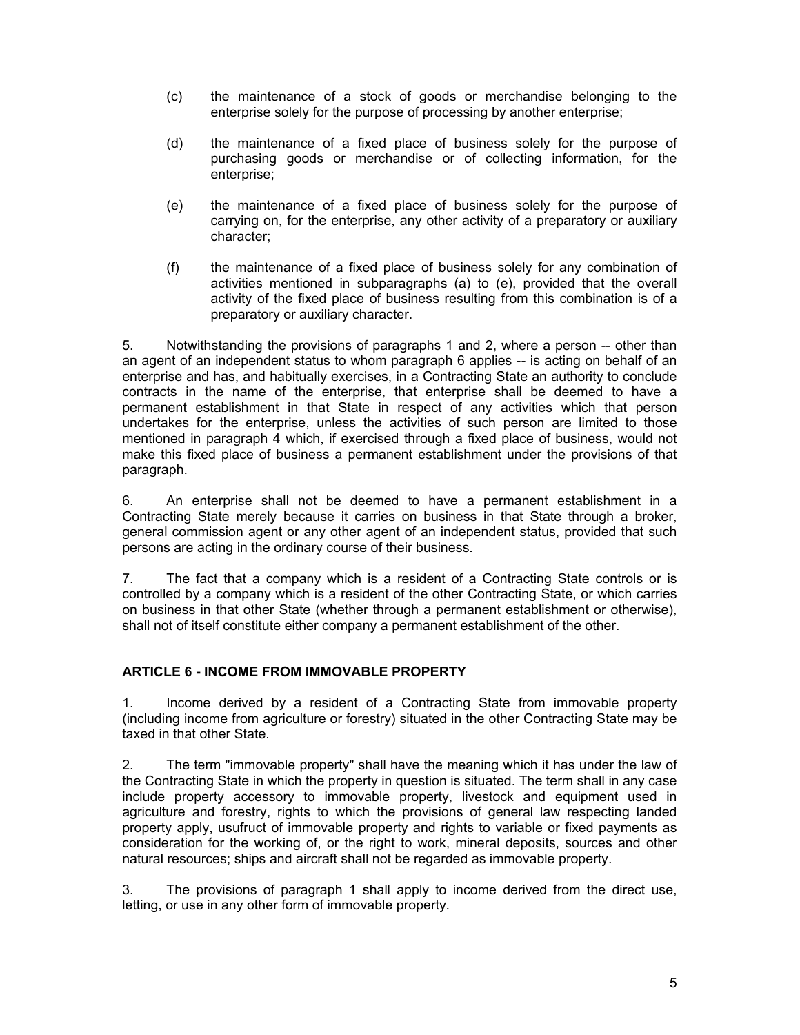- (c) the maintenance of a stock of goods or merchandise belonging to the enterprise solely for the purpose of processing by another enterprise;
- (d) the maintenance of a fixed place of business solely for the purpose of purchasing goods or merchandise or of collecting information, for the enterprise;
- (e) the maintenance of a fixed place of business solely for the purpose of carrying on, for the enterprise, any other activity of a preparatory or auxiliary character;
- (f) the maintenance of a fixed place of business solely for any combination of activities mentioned in subparagraphs (a) to (e), provided that the overall activity of the fixed place of business resulting from this combination is of a preparatory or auxiliary character.

5. Notwithstanding the provisions of paragraphs 1 and 2, where a person -- other than an agent of an independent status to whom paragraph 6 applies -- is acting on behalf of an enterprise and has, and habitually exercises, in a Contracting State an authority to conclude contracts in the name of the enterprise, that enterprise shall be deemed to have a permanent establishment in that State in respect of any activities which that person undertakes for the enterprise, unless the activities of such person are limited to those mentioned in paragraph 4 which, if exercised through a fixed place of business, would not make this fixed place of business a permanent establishment under the provisions of that paragraph.

6. An enterprise shall not be deemed to have a permanent establishment in a Contracting State merely because it carries on business in that State through a broker, general commission agent or any other agent of an independent status, provided that such persons are acting in the ordinary course of their business.

7. The fact that a company which is a resident of a Contracting State controls or is controlled by a company which is a resident of the other Contracting State, or which carries on business in that other State (whether through a permanent establishment or otherwise), shall not of itself constitute either company a permanent establishment of the other.

# **ARTICLE 6 - INCOME FROM IMMOVABLE PROPERTY**

1. Income derived by a resident of a Contracting State from immovable property (including income from agriculture or forestry) situated in the other Contracting State may be taxed in that other State.

2. The term "immovable property" shall have the meaning which it has under the law of the Contracting State in which the property in question is situated. The term shall in any case include property accessory to immovable property, livestock and equipment used in agriculture and forestry, rights to which the provisions of general law respecting landed property apply, usufruct of immovable property and rights to variable or fixed payments as consideration for the working of, or the right to work, mineral deposits, sources and other natural resources; ships and aircraft shall not be regarded as immovable property.

3. The provisions of paragraph 1 shall apply to income derived from the direct use, letting, or use in any other form of immovable property.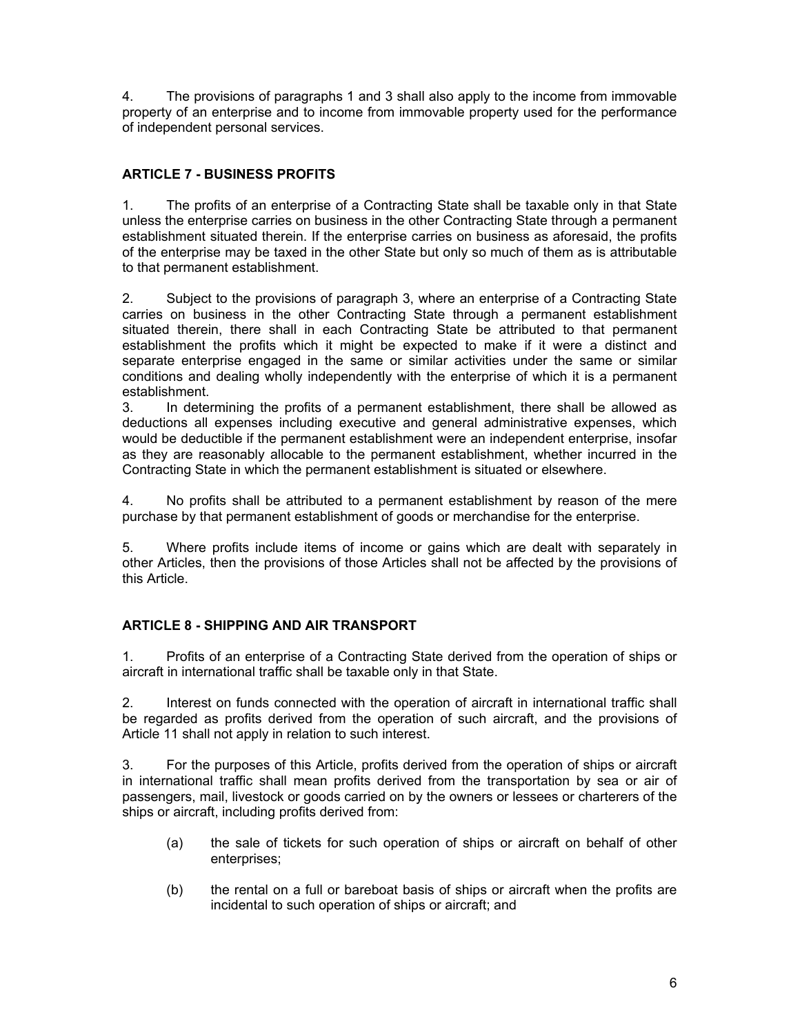4. The provisions of paragraphs 1 and 3 shall also apply to the income from immovable property of an enterprise and to income from immovable property used for the performance of independent personal services.

# **ARTICLE 7 - BUSINESS PROFITS**

1. The profits of an enterprise of a Contracting State shall be taxable only in that State unless the enterprise carries on business in the other Contracting State through a permanent establishment situated therein. If the enterprise carries on business as aforesaid, the profits of the enterprise may be taxed in the other State but only so much of them as is attributable to that permanent establishment.

2. Subject to the provisions of paragraph 3, where an enterprise of a Contracting State carries on business in the other Contracting State through a permanent establishment situated therein, there shall in each Contracting State be attributed to that permanent establishment the profits which it might be expected to make if it were a distinct and separate enterprise engaged in the same or similar activities under the same or similar conditions and dealing wholly independently with the enterprise of which it is a permanent establishment.

3. In determining the profits of a permanent establishment, there shall be allowed as deductions all expenses including executive and general administrative expenses, which would be deductible if the permanent establishment were an independent enterprise, insofar as they are reasonably allocable to the permanent establishment, whether incurred in the Contracting State in which the permanent establishment is situated or elsewhere.

4. No profits shall be attributed to a permanent establishment by reason of the mere purchase by that permanent establishment of goods or merchandise for the enterprise.

5. Where profits include items of income or gains which are dealt with separately in other Articles, then the provisions of those Articles shall not be affected by the provisions of this Article.

# **ARTICLE 8 - SHIPPING AND AIR TRANSPORT**

1. Profits of an enterprise of a Contracting State derived from the operation of ships or aircraft in international traffic shall be taxable only in that State.

2. Interest on funds connected with the operation of aircraft in international traffic shall be regarded as profits derived from the operation of such aircraft, and the provisions of Article 11 shall not apply in relation to such interest.

3. For the purposes of this Article, profits derived from the operation of ships or aircraft in international traffic shall mean profits derived from the transportation by sea or air of passengers, mail, livestock or goods carried on by the owners or lessees or charterers of the ships or aircraft, including profits derived from:

- (a) the sale of tickets for such operation of ships or aircraft on behalf of other enterprises;
- (b) the rental on a full or bareboat basis of ships or aircraft when the profits are incidental to such operation of ships or aircraft; and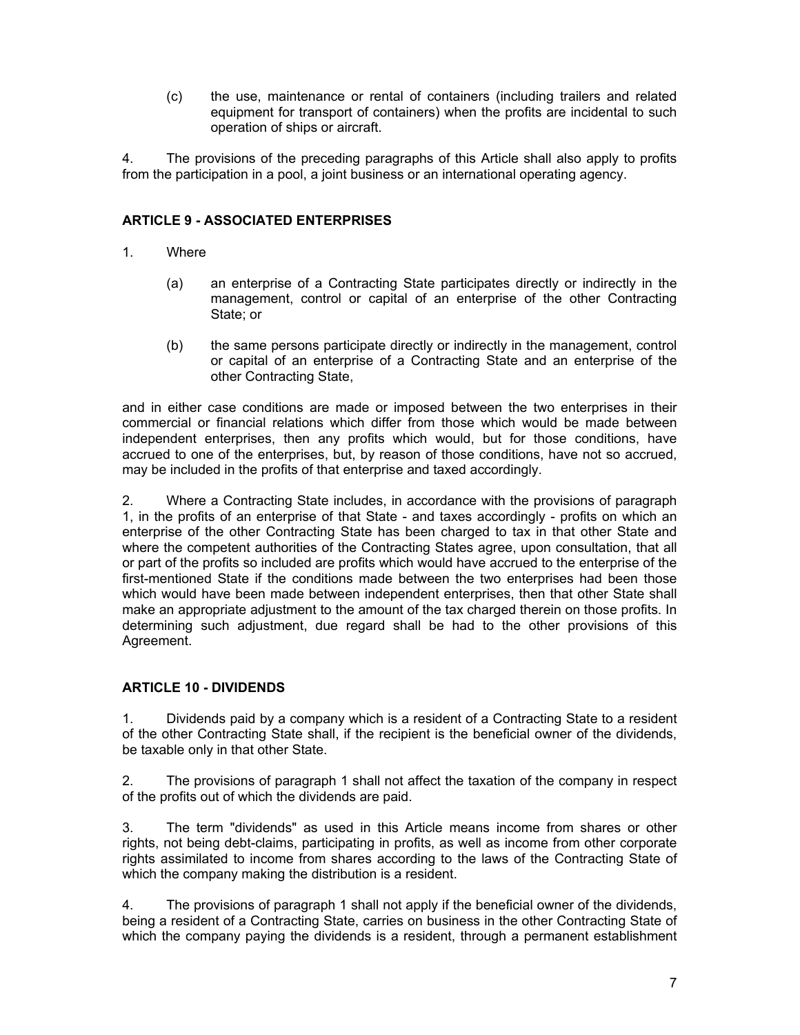(c) the use, maintenance or rental of containers (including trailers and related equipment for transport of containers) when the profits are incidental to such operation of ships or aircraft.

4. The provisions of the preceding paragraphs of this Article shall also apply to profits from the participation in a pool, a joint business or an international operating agency.

# **ARTICLE 9 - ASSOCIATED ENTERPRISES**

- 1. Where
	- (a) an enterprise of a Contracting State participates directly or indirectly in the management, control or capital of an enterprise of the other Contracting State; or
	- (b) the same persons participate directly or indirectly in the management, control or capital of an enterprise of a Contracting State and an enterprise of the other Contracting State,

and in either case conditions are made or imposed between the two enterprises in their commercial or financial relations which differ from those which would be made between independent enterprises, then any profits which would, but for those conditions, have accrued to one of the enterprises, but, by reason of those conditions, have not so accrued, may be included in the profits of that enterprise and taxed accordingly.

2. Where a Contracting State includes, in accordance with the provisions of paragraph 1, in the profits of an enterprise of that State - and taxes accordingly - profits on which an enterprise of the other Contracting State has been charged to tax in that other State and where the competent authorities of the Contracting States agree, upon consultation, that all or part of the profits so included are profits which would have accrued to the enterprise of the first-mentioned State if the conditions made between the two enterprises had been those which would have been made between independent enterprises, then that other State shall make an appropriate adjustment to the amount of the tax charged therein on those profits. In determining such adjustment, due regard shall be had to the other provisions of this Agreement.

## **ARTICLE 10 - DIVIDENDS**

1. Dividends paid by a company which is a resident of a Contracting State to a resident of the other Contracting State shall, if the recipient is the beneficial owner of the dividends, be taxable only in that other State.

2. The provisions of paragraph 1 shall not affect the taxation of the company in respect of the profits out of which the dividends are paid.

3. The term "dividends" as used in this Article means income from shares or other rights, not being debt-claims, participating in profits, as well as income from other corporate rights assimilated to income from shares according to the laws of the Contracting State of which the company making the distribution is a resident.

4. The provisions of paragraph 1 shall not apply if the beneficial owner of the dividends, being a resident of a Contracting State, carries on business in the other Contracting State of which the company paying the dividends is a resident, through a permanent establishment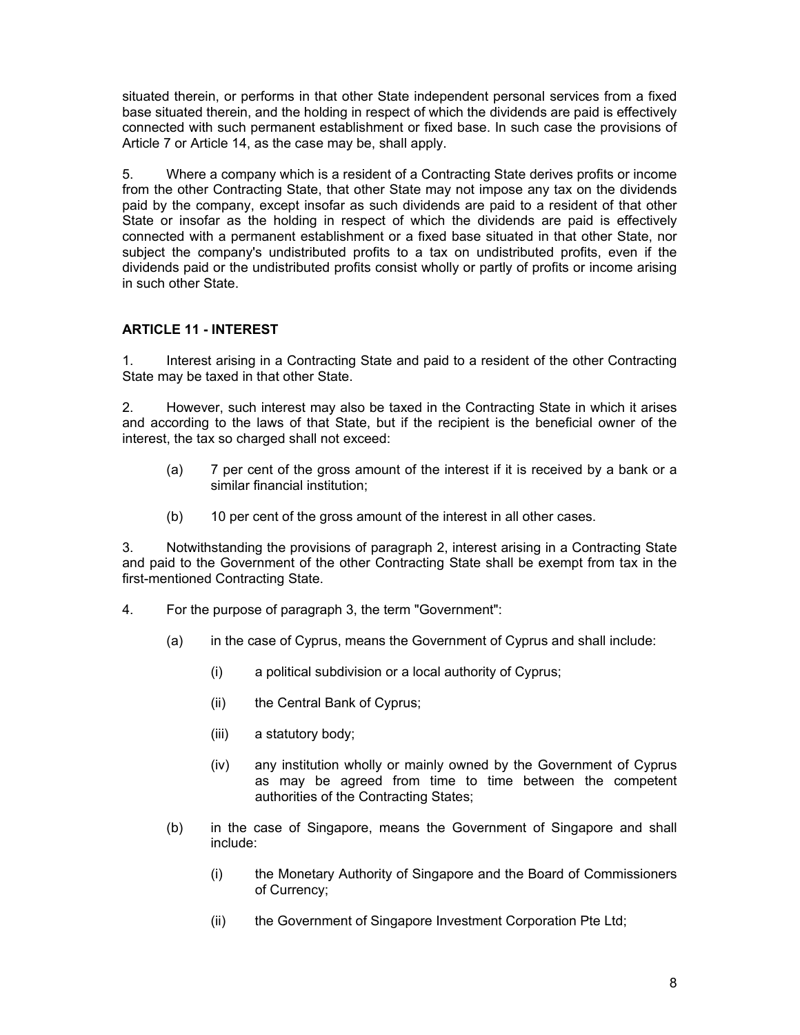situated therein, or performs in that other State independent personal services from a fixed base situated therein, and the holding in respect of which the dividends are paid is effectively connected with such permanent establishment or fixed base. In such case the provisions of Article 7 or Article 14, as the case may be, shall apply.

5. Where a company which is a resident of a Contracting State derives profits or income from the other Contracting State, that other State may not impose any tax on the dividends paid by the company, except insofar as such dividends are paid to a resident of that other State or insofar as the holding in respect of which the dividends are paid is effectively connected with a permanent establishment or a fixed base situated in that other State, nor subject the company's undistributed profits to a tax on undistributed profits, even if the dividends paid or the undistributed profits consist wholly or partly of profits or income arising in such other State.

# **ARTICLE 11 - INTEREST**

1. Interest arising in a Contracting State and paid to a resident of the other Contracting State may be taxed in that other State.

2. However, such interest may also be taxed in the Contracting State in which it arises and according to the laws of that State, but if the recipient is the beneficial owner of the interest, the tax so charged shall not exceed:

- (a) 7 per cent of the gross amount of the interest if it is received by a bank or a similar financial institution;
- (b) 10 per cent of the gross amount of the interest in all other cases.

3. Notwithstanding the provisions of paragraph 2, interest arising in a Contracting State and paid to the Government of the other Contracting State shall be exempt from tax in the first-mentioned Contracting State.

- 4. For the purpose of paragraph 3, the term "Government":
	- (a) in the case of Cyprus, means the Government of Cyprus and shall include:
		- (i) a political subdivision or a local authority of Cyprus;
		- (ii) the Central Bank of Cyprus;
		- (iii) a statutory body;
		- (iv) any institution wholly or mainly owned by the Government of Cyprus as may be agreed from time to time between the competent authorities of the Contracting States;
	- (b) in the case of Singapore, means the Government of Singapore and shall include:
		- (i) the Monetary Authority of Singapore and the Board of Commissioners of Currency;
		- (ii) the Government of Singapore Investment Corporation Pte Ltd;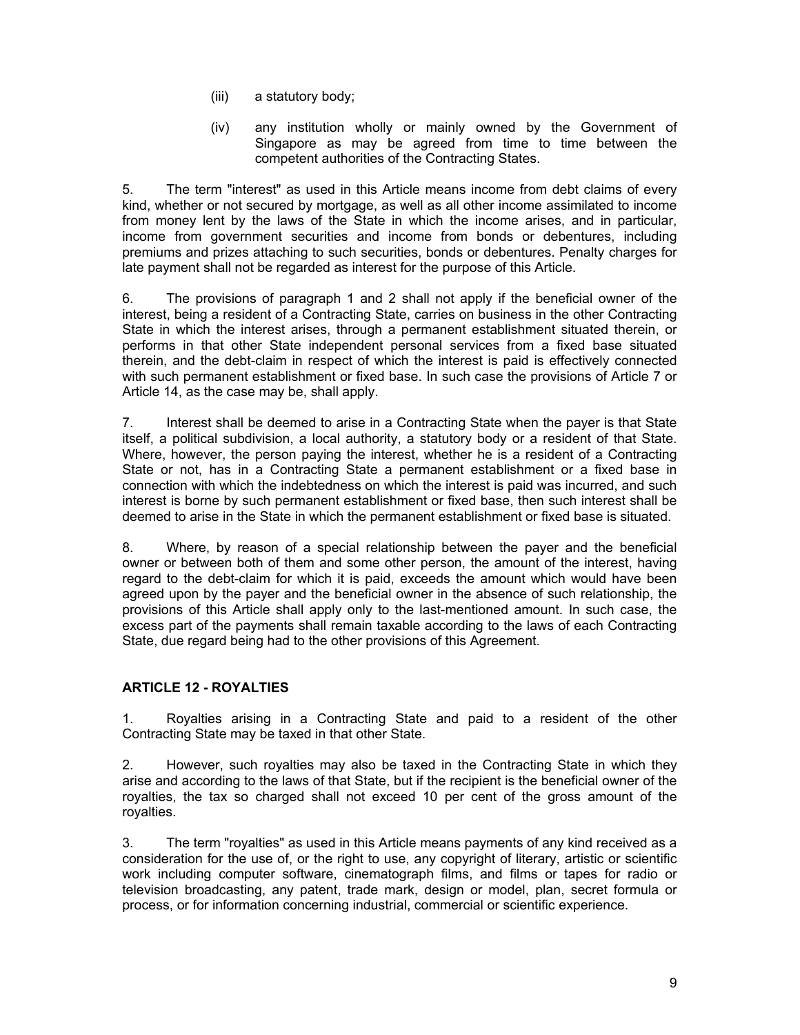- (iii) a statutory body;
- (iv) any institution wholly or mainly owned by the Government of Singapore as may be agreed from time to time between the competent authorities of the Contracting States.

5. The term "interest" as used in this Article means income from debt claims of every kind, whether or not secured by mortgage, as well as all other income assimilated to income from money lent by the laws of the State in which the income arises, and in particular, income from government securities and income from bonds or debentures, including premiums and prizes attaching to such securities, bonds or debentures. Penalty charges for late payment shall not be regarded as interest for the purpose of this Article.

6. The provisions of paragraph 1 and 2 shall not apply if the beneficial owner of the interest, being a resident of a Contracting State, carries on business in the other Contracting State in which the interest arises, through a permanent establishment situated therein, or performs in that other State independent personal services from a fixed base situated therein, and the debt-claim in respect of which the interest is paid is effectively connected with such permanent establishment or fixed base. In such case the provisions of Article 7 or Article 14, as the case may be, shall apply.

7. Interest shall be deemed to arise in a Contracting State when the payer is that State itself, a political subdivision, a local authority, a statutory body or a resident of that State. Where, however, the person paying the interest, whether he is a resident of a Contracting State or not, has in a Contracting State a permanent establishment or a fixed base in connection with which the indebtedness on which the interest is paid was incurred, and such interest is borne by such permanent establishment or fixed base, then such interest shall be deemed to arise in the State in which the permanent establishment or fixed base is situated.

8. Where, by reason of a special relationship between the payer and the beneficial owner or between both of them and some other person, the amount of the interest, having regard to the debt-claim for which it is paid, exceeds the amount which would have been agreed upon by the payer and the beneficial owner in the absence of such relationship, the provisions of this Article shall apply only to the last-mentioned amount. In such case, the excess part of the payments shall remain taxable according to the laws of each Contracting State, due regard being had to the other provisions of this Agreement.

# **ARTICLE 12 - ROYALTIES**

1. Royalties arising in a Contracting State and paid to a resident of the other Contracting State may be taxed in that other State.

2. However, such royalties may also be taxed in the Contracting State in which they arise and according to the laws of that State, but if the recipient is the beneficial owner of the royalties, the tax so charged shall not exceed 10 per cent of the gross amount of the royalties.

3. The term "royalties" as used in this Article means payments of any kind received as a consideration for the use of, or the right to use, any copyright of literary, artistic or scientific work including computer software, cinematograph films, and films or tapes for radio or television broadcasting, any patent, trade mark, design or model, plan, secret formula or process, or for information concerning industrial, commercial or scientific experience.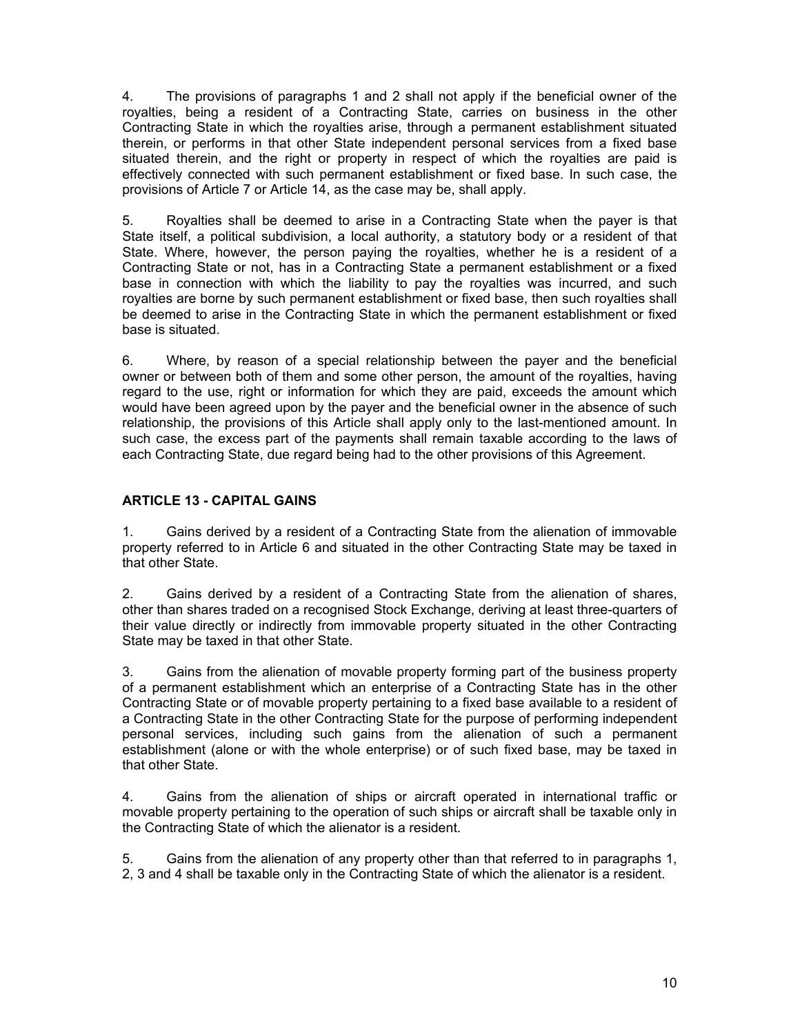4. The provisions of paragraphs 1 and 2 shall not apply if the beneficial owner of the royalties, being a resident of a Contracting State, carries on business in the other Contracting State in which the royalties arise, through a permanent establishment situated therein, or performs in that other State independent personal services from a fixed base situated therein, and the right or property in respect of which the royalties are paid is effectively connected with such permanent establishment or fixed base. In such case, the provisions of Article 7 or Article 14, as the case may be, shall apply.

5. Royalties shall be deemed to arise in a Contracting State when the payer is that State itself, a political subdivision, a local authority, a statutory body or a resident of that State. Where, however, the person paying the royalties, whether he is a resident of a Contracting State or not, has in a Contracting State a permanent establishment or a fixed base in connection with which the liability to pay the royalties was incurred, and such royalties are borne by such permanent establishment or fixed base, then such royalties shall be deemed to arise in the Contracting State in which the permanent establishment or fixed base is situated.

6. Where, by reason of a special relationship between the payer and the beneficial owner or between both of them and some other person, the amount of the royalties, having regard to the use, right or information for which they are paid, exceeds the amount which would have been agreed upon by the payer and the beneficial owner in the absence of such relationship, the provisions of this Article shall apply only to the last-mentioned amount. In such case, the excess part of the payments shall remain taxable according to the laws of each Contracting State, due regard being had to the other provisions of this Agreement.

# **ARTICLE 13 - CAPITAL GAINS**

1. Gains derived by a resident of a Contracting State from the alienation of immovable property referred to in Article 6 and situated in the other Contracting State may be taxed in that other State.

2. Gains derived by a resident of a Contracting State from the alienation of shares, other than shares traded on a recognised Stock Exchange, deriving at least three-quarters of their value directly or indirectly from immovable property situated in the other Contracting State may be taxed in that other State.

3. Gains from the alienation of movable property forming part of the business property of a permanent establishment which an enterprise of a Contracting State has in the other Contracting State or of movable property pertaining to a fixed base available to a resident of a Contracting State in the other Contracting State for the purpose of performing independent personal services, including such gains from the alienation of such a permanent establishment (alone or with the whole enterprise) or of such fixed base, may be taxed in that other State.

4. Gains from the alienation of ships or aircraft operated in international traffic or movable property pertaining to the operation of such ships or aircraft shall be taxable only in the Contracting State of which the alienator is a resident.

5. Gains from the alienation of any property other than that referred to in paragraphs 1, 2, 3 and 4 shall be taxable only in the Contracting State of which the alienator is a resident.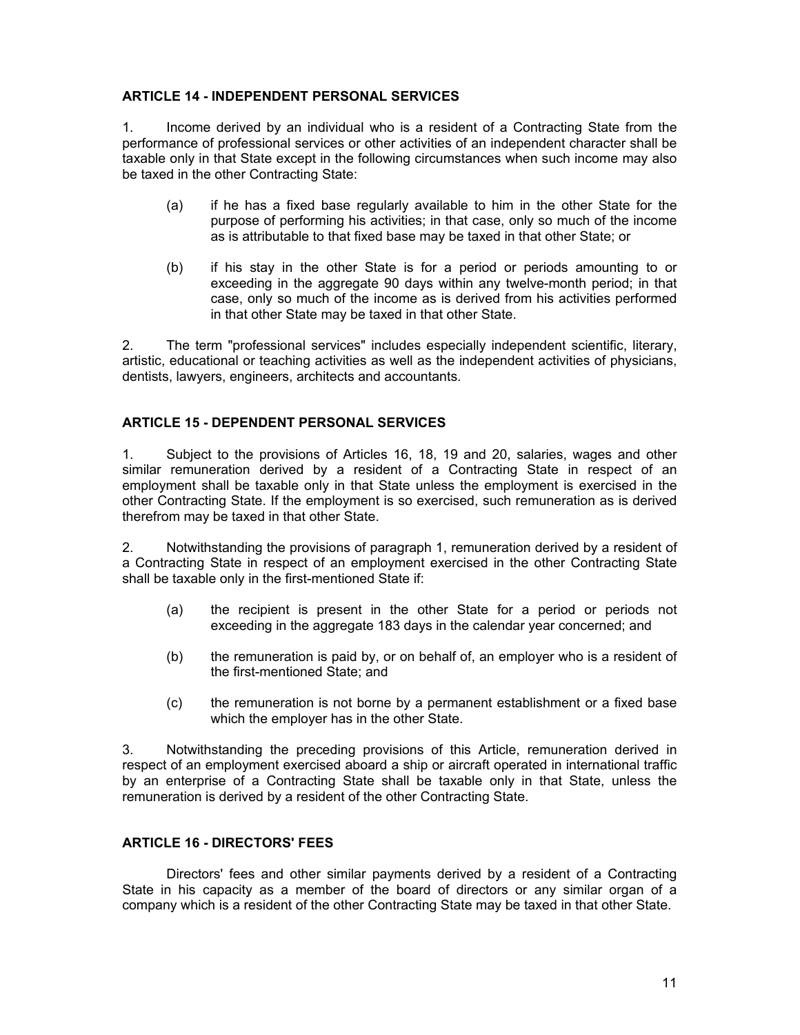#### **ARTICLE 14 - INDEPENDENT PERSONAL SERVICES**

1. Income derived by an individual who is a resident of a Contracting State from the performance of professional services or other activities of an independent character shall be taxable only in that State except in the following circumstances when such income may also be taxed in the other Contracting State:

- (a) if he has a fixed base regularly available to him in the other State for the purpose of performing his activities; in that case, only so much of the income as is attributable to that fixed base may be taxed in that other State; or
- (b) if his stay in the other State is for a period or periods amounting to or exceeding in the aggregate 90 days within any twelve-month period; in that case, only so much of the income as is derived from his activities performed in that other State may be taxed in that other State.

2. The term "professional services" includes especially independent scientific, literary, artistic, educational or teaching activities as well as the independent activities of physicians, dentists, lawyers, engineers, architects and accountants.

## **ARTICLE 15 - DEPENDENT PERSONAL SERVICES**

1. Subject to the provisions of Articles 16, 18, 19 and 20, salaries, wages and other similar remuneration derived by a resident of a Contracting State in respect of an employment shall be taxable only in that State unless the employment is exercised in the other Contracting State. If the employment is so exercised, such remuneration as is derived therefrom may be taxed in that other State.

2. Notwithstanding the provisions of paragraph 1, remuneration derived by a resident of a Contracting State in respect of an employment exercised in the other Contracting State shall be taxable only in the first-mentioned State if:

- (a) the recipient is present in the other State for a period or periods not exceeding in the aggregate 183 days in the calendar year concerned; and
- (b) the remuneration is paid by, or on behalf of, an employer who is a resident of the first-mentioned State; and
- (c) the remuneration is not borne by a permanent establishment or a fixed base which the employer has in the other State.

3. Notwithstanding the preceding provisions of this Article, remuneration derived in respect of an employment exercised aboard a ship or aircraft operated in international traffic by an enterprise of a Contracting State shall be taxable only in that State, unless the remuneration is derived by a resident of the other Contracting State.

#### **ARTICLE 16 - DIRECTORS' FEES**

Directors' fees and other similar payments derived by a resident of a Contracting State in his capacity as a member of the board of directors or any similar organ of a company which is a resident of the other Contracting State may be taxed in that other State.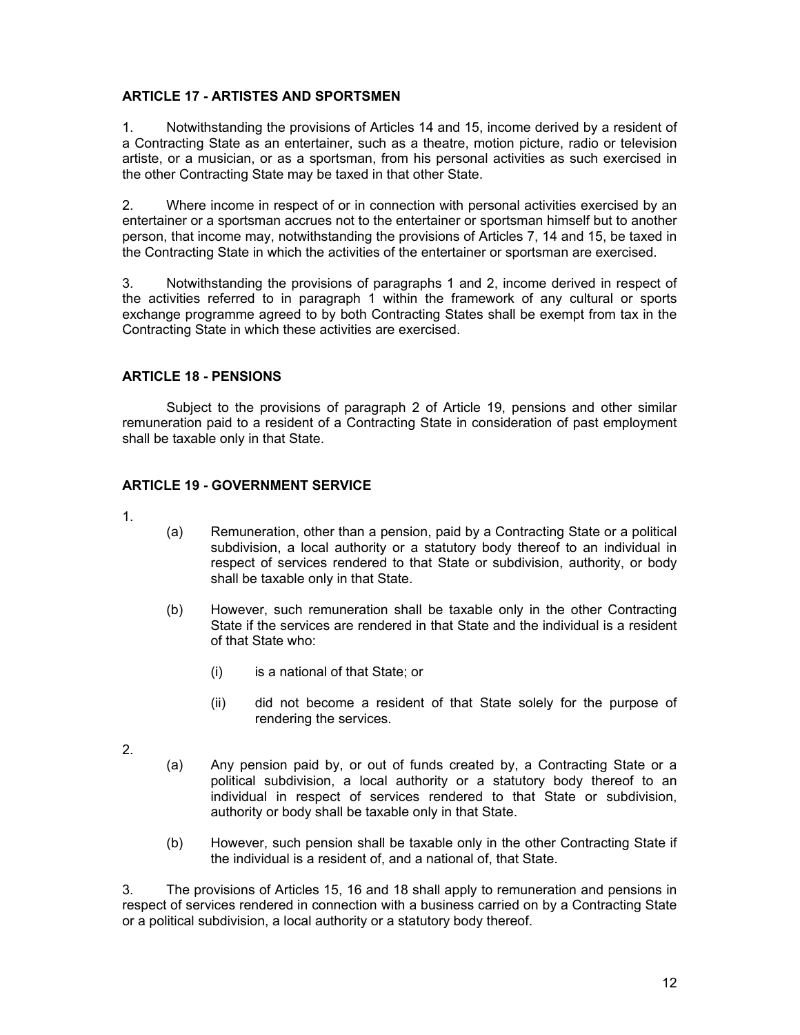# **ARTICLE 17 - ARTISTES AND SPORTSMEN**

1. Notwithstanding the provisions of Articles 14 and 15, income derived by a resident of a Contracting State as an entertainer, such as a theatre, motion picture, radio or television artiste, or a musician, or as a sportsman, from his personal activities as such exercised in the other Contracting State may be taxed in that other State.

2. Where income in respect of or in connection with personal activities exercised by an entertainer or a sportsman accrues not to the entertainer or sportsman himself but to another person, that income may, notwithstanding the provisions of Articles 7, 14 and 15, be taxed in the Contracting State in which the activities of the entertainer or sportsman are exercised.

3. Notwithstanding the provisions of paragraphs 1 and 2, income derived in respect of the activities referred to in paragraph 1 within the framework of any cultural or sports exchange programme agreed to by both Contracting States shall be exempt from tax in the Contracting State in which these activities are exercised.

## **ARTICLE 18 - PENSIONS**

Subject to the provisions of paragraph 2 of Article 19, pensions and other similar remuneration paid to a resident of a Contracting State in consideration of past employment shall be taxable only in that State.

# **ARTICLE 19 - GOVERNMENT SERVICE**

1.

- (a) Remuneration, other than a pension, paid by a Contracting State or a political subdivision, a local authority or a statutory body thereof to an individual in respect of services rendered to that State or subdivision, authority, or body shall be taxable only in that State.
- (b) However, such remuneration shall be taxable only in the other Contracting State if the services are rendered in that State and the individual is a resident of that State who:
	- (i) is a national of that State; or
	- (ii) did not become a resident of that State solely for the purpose of rendering the services.
- 2.
- (a) Any pension paid by, or out of funds created by, a Contracting State or a political subdivision, a local authority or a statutory body thereof to an individual in respect of services rendered to that State or subdivision, authority or body shall be taxable only in that State.
- (b) However, such pension shall be taxable only in the other Contracting State if the individual is a resident of, and a national of, that State.

3. The provisions of Articles 15, 16 and 18 shall apply to remuneration and pensions in respect of services rendered in connection with a business carried on by a Contracting State or a political subdivision, a local authority or a statutory body thereof.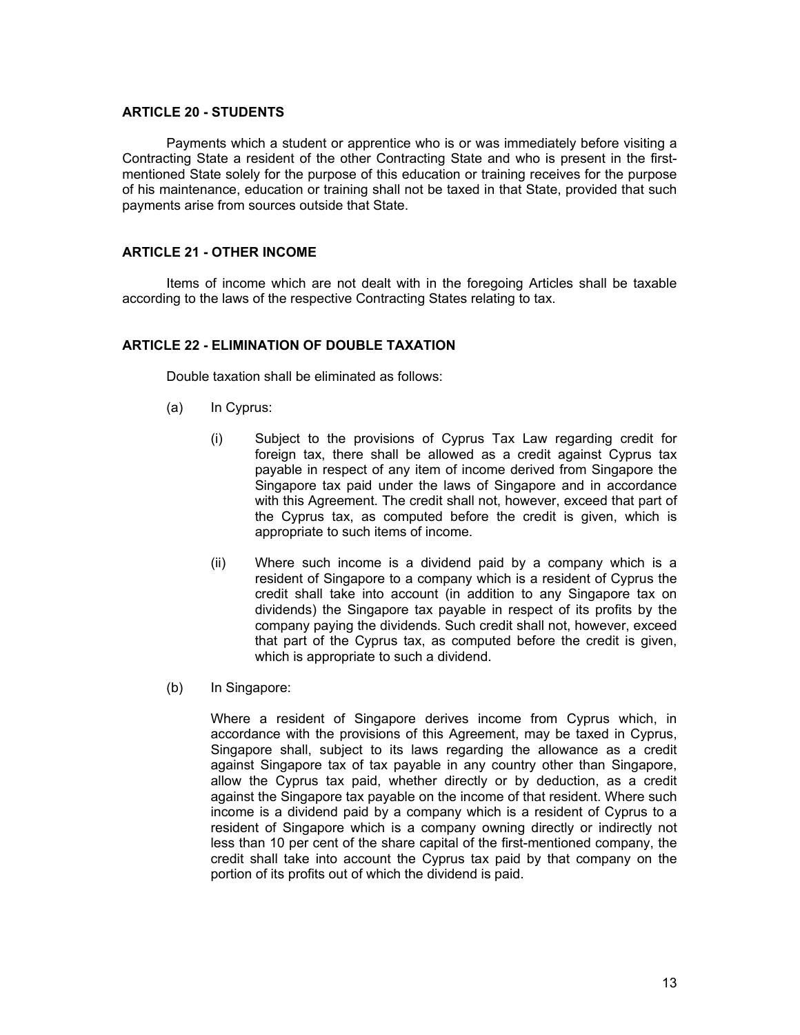#### **ARTICLE 20 - STUDENTS**

Payments which a student or apprentice who is or was immediately before visiting a Contracting State a resident of the other Contracting State and who is present in the firstmentioned State solely for the purpose of this education or training receives for the purpose of his maintenance, education or training shall not be taxed in that State, provided that such payments arise from sources outside that State.

# **ARTICLE 21 - OTHER INCOME**

Items of income which are not dealt with in the foregoing Articles shall be taxable according to the laws of the respective Contracting States relating to tax.

## **ARTICLE 22 - ELIMINATION OF DOUBLE TAXATION**

Double taxation shall be eliminated as follows:

- (a) In Cyprus:
	- (i) Subject to the provisions of Cyprus Tax Law regarding credit for foreign tax, there shall be allowed as a credit against Cyprus tax payable in respect of any item of income derived from Singapore the Singapore tax paid under the laws of Singapore and in accordance with this Agreement. The credit shall not, however, exceed that part of the Cyprus tax, as computed before the credit is given, which is appropriate to such items of income.
	- (ii) Where such income is a dividend paid by a company which is a resident of Singapore to a company which is a resident of Cyprus the credit shall take into account (in addition to any Singapore tax on dividends) the Singapore tax payable in respect of its profits by the company paying the dividends. Such credit shall not, however, exceed that part of the Cyprus tax, as computed before the credit is given, which is appropriate to such a dividend.
- (b) In Singapore:

Where a resident of Singapore derives income from Cyprus which, in accordance with the provisions of this Agreement, may be taxed in Cyprus, Singapore shall, subject to its laws regarding the allowance as a credit against Singapore tax of tax payable in any country other than Singapore, allow the Cyprus tax paid, whether directly or by deduction, as a credit against the Singapore tax payable on the income of that resident. Where such income is a dividend paid by a company which is a resident of Cyprus to a resident of Singapore which is a company owning directly or indirectly not less than 10 per cent of the share capital of the first-mentioned company, the credit shall take into account the Cyprus tax paid by that company on the portion of its profits out of which the dividend is paid.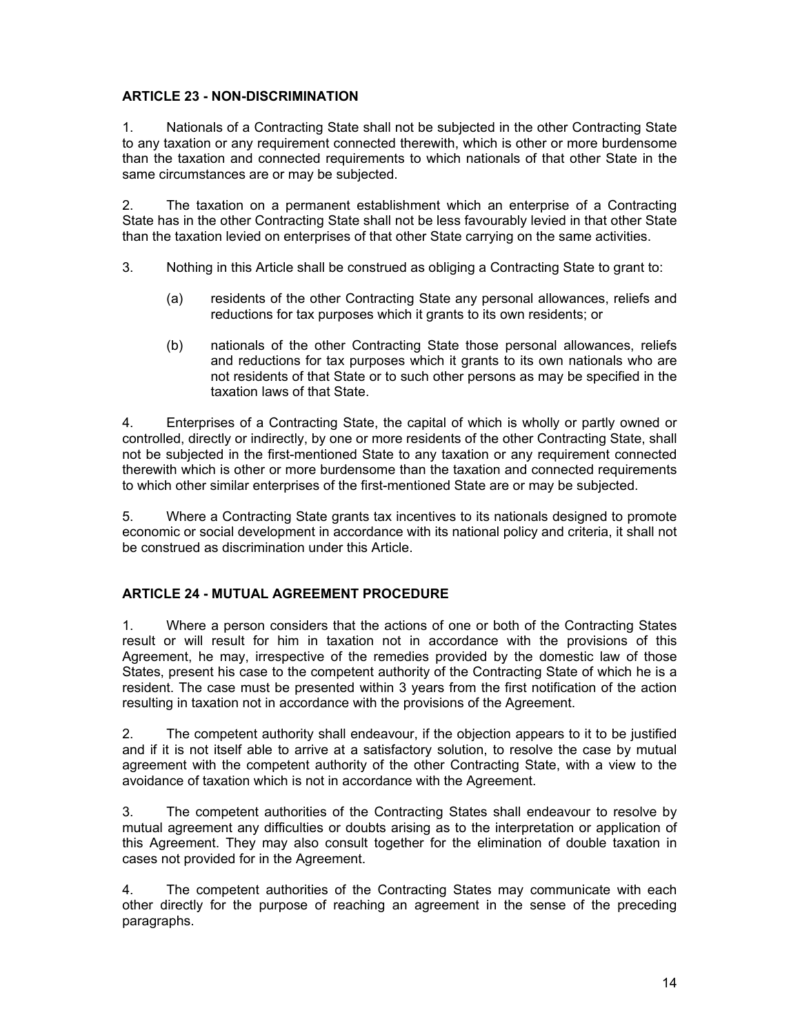# **ARTICLE 23 - NON-DISCRIMINATION**

1. Nationals of a Contracting State shall not be subjected in the other Contracting State to any taxation or any requirement connected therewith, which is other or more burdensome than the taxation and connected requirements to which nationals of that other State in the same circumstances are or may be subjected.

2. The taxation on a permanent establishment which an enterprise of a Contracting State has in the other Contracting State shall not be less favourably levied in that other State than the taxation levied on enterprises of that other State carrying on the same activities.

- 3. Nothing in this Article shall be construed as obliging a Contracting State to grant to:
	- (a) residents of the other Contracting State any personal allowances, reliefs and reductions for tax purposes which it grants to its own residents; or
	- (b) nationals of the other Contracting State those personal allowances, reliefs and reductions for tax purposes which it grants to its own nationals who are not residents of that State or to such other persons as may be specified in the taxation laws of that State.

4. Enterprises of a Contracting State, the capital of which is wholly or partly owned or controlled, directly or indirectly, by one or more residents of the other Contracting State, shall not be subjected in the first-mentioned State to any taxation or any requirement connected therewith which is other or more burdensome than the taxation and connected requirements to which other similar enterprises of the first-mentioned State are or may be subjected.

5. Where a Contracting State grants tax incentives to its nationals designed to promote economic or social development in accordance with its national policy and criteria, it shall not be construed as discrimination under this Article.

# **ARTICLE 24 - MUTUAL AGREEMENT PROCEDURE**

1. Where a person considers that the actions of one or both of the Contracting States result or will result for him in taxation not in accordance with the provisions of this Agreement, he may, irrespective of the remedies provided by the domestic law of those States, present his case to the competent authority of the Contracting State of which he is a resident. The case must be presented within 3 years from the first notification of the action resulting in taxation not in accordance with the provisions of the Agreement.

2. The competent authority shall endeavour, if the objection appears to it to be justified and if it is not itself able to arrive at a satisfactory solution, to resolve the case by mutual agreement with the competent authority of the other Contracting State, with a view to the avoidance of taxation which is not in accordance with the Agreement.

3. The competent authorities of the Contracting States shall endeavour to resolve by mutual agreement any difficulties or doubts arising as to the interpretation or application of this Agreement. They may also consult together for the elimination of double taxation in cases not provided for in the Agreement.

4. The competent authorities of the Contracting States may communicate with each other directly for the purpose of reaching an agreement in the sense of the preceding paragraphs.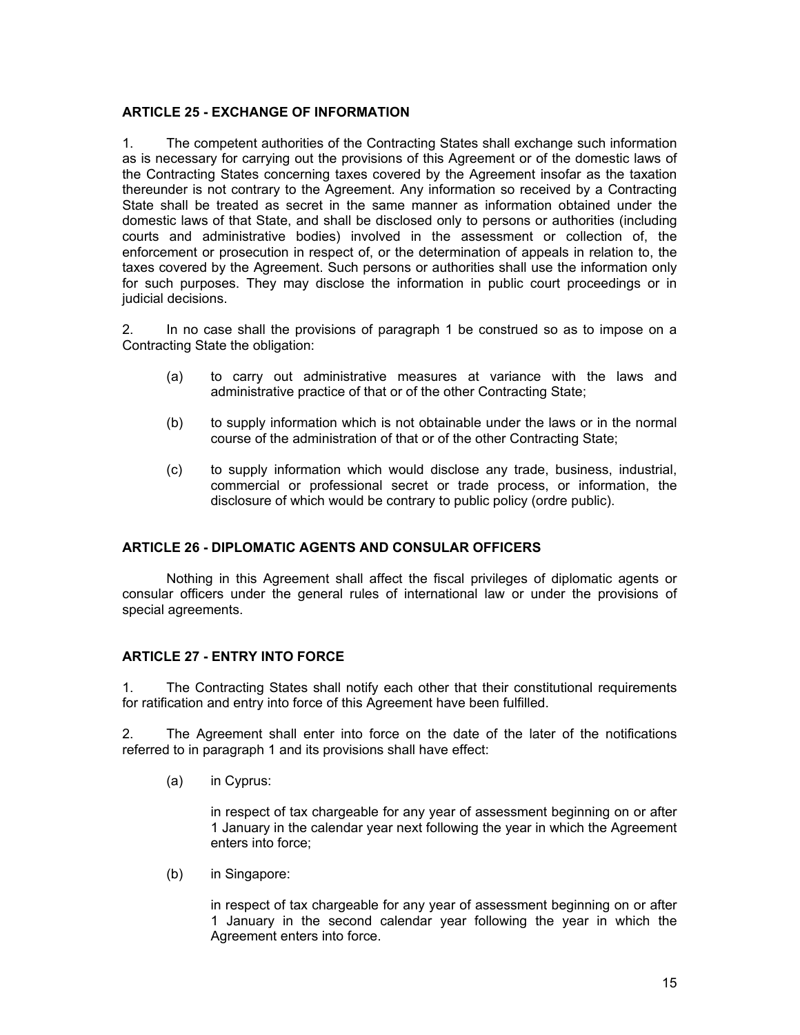# **ARTICLE 25 - EXCHANGE OF INFORMATION**

1. The competent authorities of the Contracting States shall exchange such information as is necessary for carrying out the provisions of this Agreement or of the domestic laws of the Contracting States concerning taxes covered by the Agreement insofar as the taxation thereunder is not contrary to the Agreement. Any information so received by a Contracting State shall be treated as secret in the same manner as information obtained under the domestic laws of that State, and shall be disclosed only to persons or authorities (including courts and administrative bodies) involved in the assessment or collection of, the enforcement or prosecution in respect of, or the determination of appeals in relation to, the taxes covered by the Agreement. Such persons or authorities shall use the information only for such purposes. They may disclose the information in public court proceedings or in judicial decisions.

2. In no case shall the provisions of paragraph 1 be construed so as to impose on a Contracting State the obligation:

- (a) to carry out administrative measures at variance with the laws and administrative practice of that or of the other Contracting State;
- (b) to supply information which is not obtainable under the laws or in the normal course of the administration of that or of the other Contracting State;
- (c) to supply information which would disclose any trade, business, industrial, commercial or professional secret or trade process, or information, the disclosure of which would be contrary to public policy (ordre public).

## **ARTICLE 26 - DIPLOMATIC AGENTS AND CONSULAR OFFICERS**

Nothing in this Agreement shall affect the fiscal privileges of diplomatic agents or consular officers under the general rules of international law or under the provisions of special agreements.

## **ARTICLE 27 - ENTRY INTO FORCE**

1. The Contracting States shall notify each other that their constitutional requirements for ratification and entry into force of this Agreement have been fulfilled.

2. The Agreement shall enter into force on the date of the later of the notifications referred to in paragraph 1 and its provisions shall have effect:

(a) in Cyprus:

in respect of tax chargeable for any year of assessment beginning on or after 1 January in the calendar year next following the year in which the Agreement enters into force;

(b) in Singapore:

in respect of tax chargeable for any year of assessment beginning on or after 1 January in the second calendar year following the year in which the Agreement enters into force.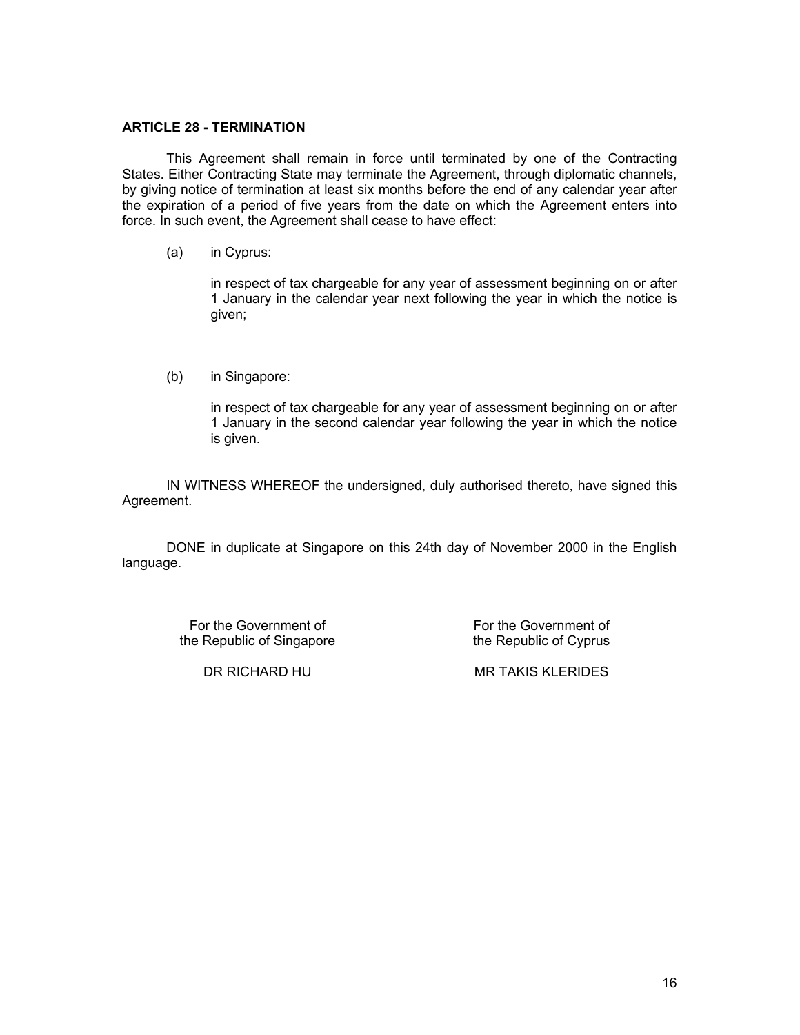#### **ARTICLE 28 - TERMINATION**

This Agreement shall remain in force until terminated by one of the Contracting States. Either Contracting State may terminate the Agreement, through diplomatic channels, by giving notice of termination at least six months before the end of any calendar year after the expiration of a period of five years from the date on which the Agreement enters into force. In such event, the Agreement shall cease to have effect:

(a) in Cyprus:

in respect of tax chargeable for any year of assessment beginning on or after 1 January in the calendar year next following the year in which the notice is given;

(b) in Singapore:

in respect of tax chargeable for any year of assessment beginning on or after 1 January in the second calendar year following the year in which the notice is given.

IN WITNESS WHEREOF the undersigned, duly authorised thereto, have signed this Agreement.

DONE in duplicate at Singapore on this 24th day of November 2000 in the English language.

> For the Government of the Republic of Singapore

For the Government of the Republic of Cyprus

DR RICHARD HU MR TAKIS KLERIDES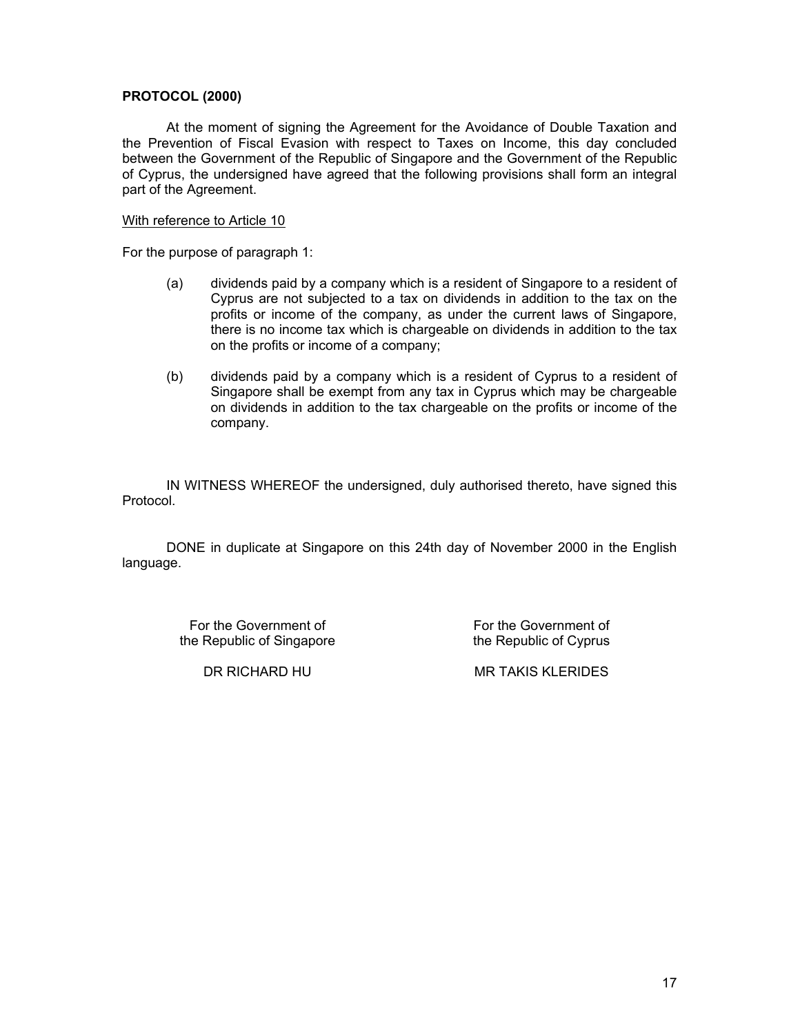#### **PROTOCOL (2000)**

At the moment of signing the Agreement for the Avoidance of Double Taxation and the Prevention of Fiscal Evasion with respect to Taxes on Income, this day concluded between the Government of the Republic of Singapore and the Government of the Republic of Cyprus, the undersigned have agreed that the following provisions shall form an integral part of the Agreement.

#### With reference to Article 10

For the purpose of paragraph 1:

- (a) dividends paid by a company which is a resident of Singapore to a resident of Cyprus are not subjected to a tax on dividends in addition to the tax on the profits or income of the company, as under the current laws of Singapore, there is no income tax which is chargeable on dividends in addition to the tax on the profits or income of a company;
- (b) dividends paid by a company which is a resident of Cyprus to a resident of Singapore shall be exempt from any tax in Cyprus which may be chargeable on dividends in addition to the tax chargeable on the profits or income of the company.

IN WITNESS WHEREOF the undersigned, duly authorised thereto, have signed this Protocol.

DONE in duplicate at Singapore on this 24th day of November 2000 in the English language.

> For the Government of the Republic of Singapore

For the Government of the Republic of Cyprus

DR RICHARD HU MR TAKIS KLERIDES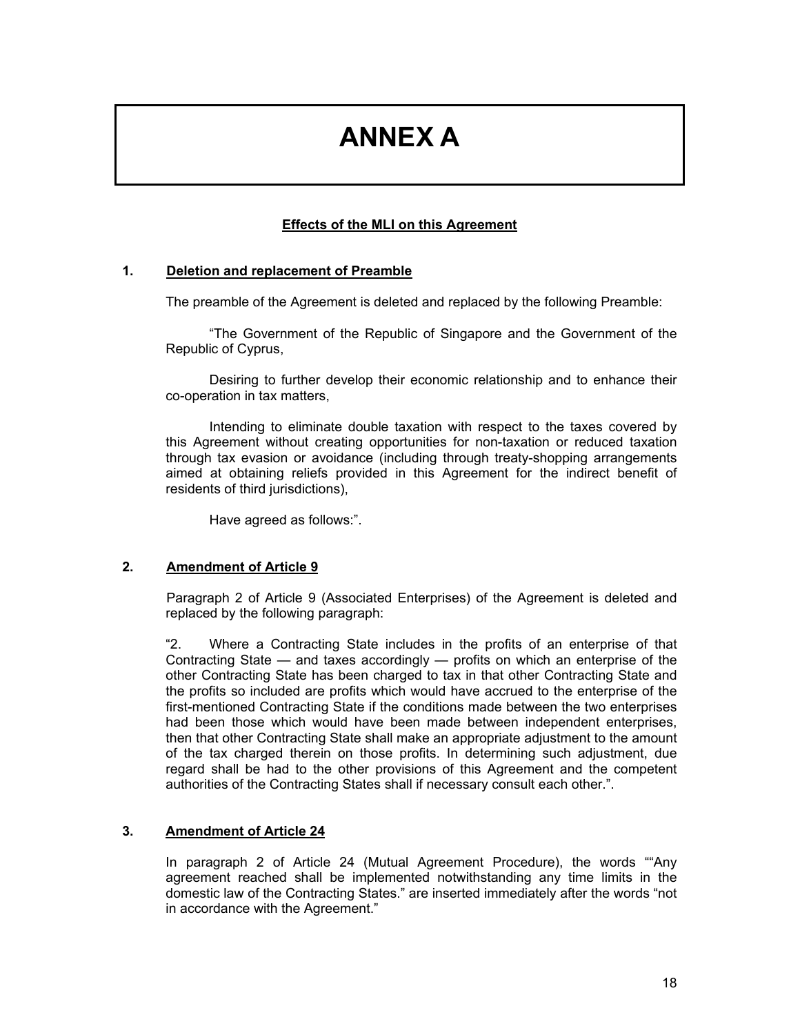# **ANNEX A**

# **Effects of the MLI on this Agreement**

#### **1. Deletion and replacement of Preamble**

The preamble of the Agreement is deleted and replaced by the following Preamble:

"The Government of the Republic of Singapore and the Government of the Republic of Cyprus,

Desiring to further develop their economic relationship and to enhance their co-operation in tax matters,

Intending to eliminate double taxation with respect to the taxes covered by this Agreement without creating opportunities for non-taxation or reduced taxation through tax evasion or avoidance (including through treaty-shopping arrangements aimed at obtaining reliefs provided in this Agreement for the indirect benefit of residents of third jurisdictions),

Have agreed as follows:".

## **2. Amendment of Article 9**

 Paragraph 2 of Article 9 (Associated Enterprises) of the Agreement is deleted and replaced by the following paragraph:

"2. Where a Contracting State includes in the profits of an enterprise of that Contracting State — and taxes accordingly — profits on which an enterprise of the other Contracting State has been charged to tax in that other Contracting State and the profits so included are profits which would have accrued to the enterprise of the first-mentioned Contracting State if the conditions made between the two enterprises had been those which would have been made between independent enterprises, then that other Contracting State shall make an appropriate adjustment to the amount of the tax charged therein on those profits. In determining such adjustment, due regard shall be had to the other provisions of this Agreement and the competent authorities of the Contracting States shall if necessary consult each other.".

## **3. Amendment of Article 24**

In paragraph 2 of Article 24 (Mutual Agreement Procedure), the words ""Any agreement reached shall be implemented notwithstanding any time limits in the domestic law of the Contracting States." are inserted immediately after the words "not in accordance with the Agreement."